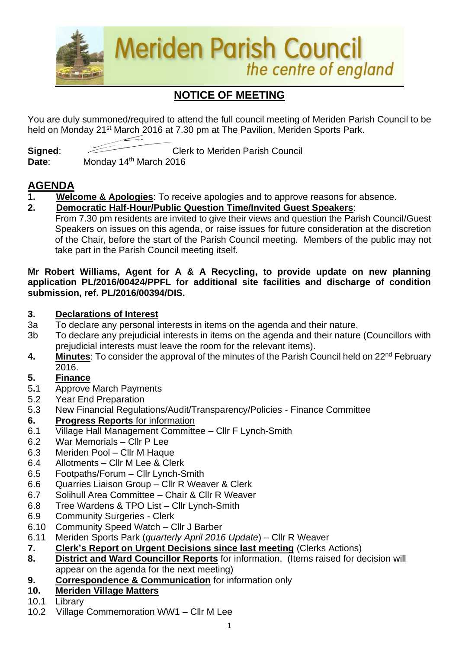

# **NOTICE OF MEETING**

You are duly summoned/required to attend the full council meeting of Meriden Parish Council to be held on Monday 21<sup>st</sup> March 2016 at 7.30 pm at The Pavilion, Meriden Sports Park.

**Signed:** Clerk to Meriden Parish Council Date: Monday 14<sup>th</sup> March 2016

# **AGENDA**

- **1. Welcome & Apologies**: To receive apologies and to approve reasons for absence.
- **2. Democratic Half-Hour/Public Question Time/Invited Guest Speakers**: From 7.30 pm residents are invited to give their views and question the Parish Council/Guest Speakers on issues on this agenda, or raise issues for future consideration at the discretion of the Chair, before the start of the Parish Council meeting. Members of the public may not take part in the Parish Council meeting itself.

#### **Mr Robert Williams, Agent for A & A Recycling, to provide update on new planning application PL/2016/00424/PPFL for additional site facilities and discharge of condition submission, ref. PL/2016/00394/DIS.**

### **3. Declarations of Interest**

- 3a To declare any personal interests in items on the agenda and their nature.
- 3b To declare any prejudicial interests in items on the agenda and their nature (Councillors with prejudicial interests must leave the room for the relevant items).
- 4. Minutes: To consider the approval of the minutes of the Parish Council held on 22<sup>nd</sup> February 2016.

## **5. Finance**

- 5**.**1 Approve March Payments
- 5.2 Year End Preparation
- 5.3 New Financial Regulations/Audit/Transparency/Policies Finance Committee
- **6. Progress Reports** for information
- 6.1 Village Hall Management Committee Cllr F Lynch-Smith
- 6.2 War Memorials Cllr P Lee
- 6.3 Meriden Pool Cllr M Haque
- 6.4 Allotments Cllr M Lee & Clerk
- 6.5 Footpaths/Forum Cllr Lynch-Smith
- 6.6 Quarries Liaison Group Cllr R Weaver & Clerk
- 6.7 Solihull Area Committee Chair & Cllr R Weaver
- 6.8 Tree Wardens & TPO List Cllr Lynch-Smith
- 6.9 Community Surgeries Clerk
- 6.10 Community Speed Watch Cllr J Barber
- 6.11 Meriden Sports Park (*quarterly April 2016 Update*) Cllr R Weaver
- **7. Clerk's Report on Urgent Decisions since last meeting** (Clerks Actions)
- **8. District and Ward Councillor Reports** for information. (Items raised for decision will appear on the agenda for the next meeting)
- **9. Correspondence & Communication** for information only
- **10. Meriden Village Matters**
- 10.1 Library
- 10.2 Village Commemoration WW1 Cllr M Lee